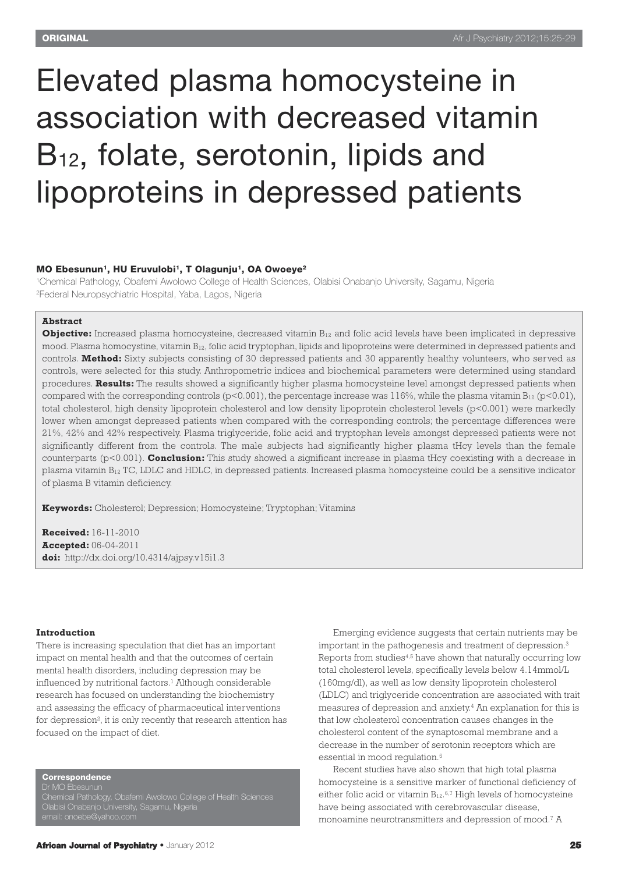### Elevated plasma homocysteine in association with decreased vitamin B<sub>12</sub>, folate, serotonin, lipids and lipoproteins in depressed patients

#### **MO Ebesunun1, HU Eruvulobi1, T Olagunju1, OA Owoeye2**

1Chemical Pathology, Obafemi Awolowo College of Health Sciences, Olabisi Onabanjo University, Sagamu, Nigeria 2Federal Neuropsychiatric Hospital, Yaba, Lagos, Nigeria

#### **Abstract**

**Objective:** Increased plasma homocysteine, decreased vitamin B<sub>12</sub> and folic acid levels have been implicated in depressive mood. Plasma homocystine, vitamin B12, folic acid tryptophan, lipids and lipoproteins were determined in depressed patients and controls. **Method:** Sixty subjects consisting of 30 depressed patients and 30 apparently healthy volunteers, who served as controls, were selected for this study. Anthropometric indices and biochemical parameters were determined using standard procedures. **Results:** The results showed a significantly higher plasma homocysteine level amongst depressed patients when compared with the corresponding controls ( $p<0.001$ ), the percentage increase was 116%, while the plasma vitamin  $B_{12}$  ( $p<0.01$ ). total cholesterol, high density lipoprotein cholesterol and low density lipoprotein cholesterol levels (p<0.001) were markedly lower when amongst depressed patients when compared with the corresponding controls; the percentage differences were 21%, 42% and 42% respectively. Plasma triglyceride, folic acid and tryptophan levels amongst depressed patients were not significantly different from the controls. The male subjects had significantly higher plasma tHcy levels than the female counterparts (p<0.001). **Conclusion:** This study showed a significant increase in plasma tHcy coexisting with a decrease in plasma vitamin B12 TC, LDLC and HDLC, in depressed patients. Increased plasma homocysteine could be a sensitive indicator of plasma B vitamin deficiency.

**Keywords:** Cholesterol; Depression; Homocysteine; Tryptophan; Vitamins

**Received:** 16-11-2010 **Accepted:** 06-04-2011 **doi:** http://dx.doi.org/10.4314/ajpsy.v15i1.3

#### **Introduction**

There is increasing speculation that diet has an important impact on mental health and that the outcomes of certain mental health disorders, including depression may be influenced by nutritional factors. <sup>1</sup> Although considerable research has focused on understanding the biochemistry and assessing the efficacy of pharmaceutical interventions for depression<sup>2</sup>, it is only recently that research attention has focused on the impact of diet.

**Correspondence**

Dr MO Ebesunun Chemical Pathology, Obafemi Awolowo College of Health Sciences Olabisi Onabanjo University, Sagamu, Nigeria

Emerging evidence suggests that certain nutrients may be important in the pathogenesis and treatment of depression. 3 Reports from studies<sup>4,5</sup> have shown that naturally occurring low total cholesterol levels, specifically levels below 4.14mmol/L (160mg/dl), as well as low density lipoprotein cholesterol (LDLC) and triglyceride concentration are associated with trait measures of depression and anxiety. <sup>4</sup> An explanation for this is that low cholesterol concentration causes changes in the cholesterol content of the synaptosomal membrane and a decrease in the number of serotonin receptors which are essential in mood regulation. 5

Recent studies have also shown that high total plasma homocysteine is a sensitive marker of functional deficiency of either folic acid or vitamin  $B_{12}$ .<sup>6,7</sup> High levels of homocysteine have being associated with cerebrovascular disease, monoamine neurotransmitters and depression of mood. <sup>7</sup> A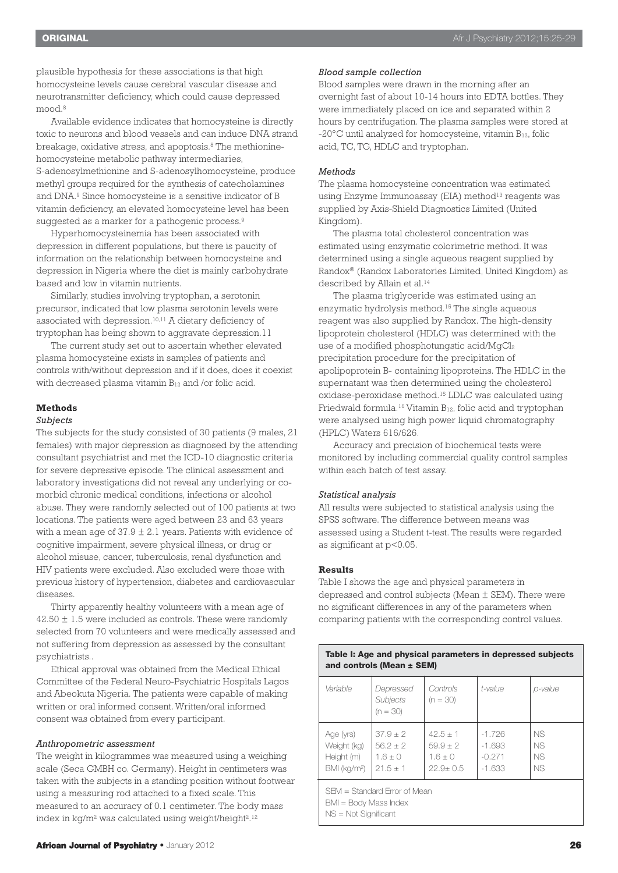plausible hypothesis for these associations is that high homocysteine levels cause cerebral vascular disease and neurotransmitter deficiency, which could cause depressed mood. 8

Available evidence indicates that homocysteine is directly toxic to neurons and blood vessels and can induce DNA strand breakage, oxidative stress, and apoptosis. <sup>8</sup> The methioninehomocysteine metabolic pathway intermediaries, S-adenosylmethionine and S-adenosylhomocysteine, produce methyl groups required for the synthesis of catecholamines and DNA. <sup>9</sup> Since homocysteine is a sensitive indicator of B vitamin deficiency, an elevated homocysteine level has been suggested as a marker for a pathogenic process.<sup>9</sup>

Hyperhomocysteinemia has been associated with depression in different populations, but there is paucity of information on the relationship between homocysteine and depression in Nigeria where the diet is mainly carbohydrate based and low in vitamin nutrients.

Similarly, studies involving tryptophan, a serotonin precursor, indicated that low plasma serotonin levels were associated with depression. 10,11 A dietary deficiency of tryptophan has being shown to aggravate depression.11

The current study set out to ascertain whether elevated plasma homocysteine exists in samples of patients and controls with/without depression and if it does, does it coexist with decreased plasma vitamin  $B_{12}$  and /or folic acid.

#### **Methods**

#### *Subjects*

The subjects for the study consisted of 30 patients (9 males, 21 females) with major depression as diagnosed by the attending consultant psychiatrist and met the ICD-10 diagnostic criteria for severe depressive episode. The clinical assessment and laboratory investigations did not reveal any underlying or comorbid chronic medical conditions, infections or alcohol abuse. They were randomly selected out of 100 patients at two locations. The patients were aged between 23 and 63 years with a mean age of  $37.9 \pm 2.1$  years. Patients with evidence of cognitive impairment, severe physical illness, or drug or alcohol misuse, cancer, tuberculosis, renal dysfunction and HIV patients were excluded. Also excluded were those with previous history of hypertension, diabetes and cardiovascular diseases.

Thirty apparently healthy volunteers with a mean age of  $42.50 \pm 1.5$  were included as controls. These were randomly selected from 70 volunteers and were medically assessed and not suffering from depression as assessed by the consultant psychiatrists..

Ethical approval was obtained from the Medical Ethical Committee of the Federal Neuro-Psychiatric Hospitals Lagos and Abeokuta Nigeria. The patients were capable of making written or oral informed consent. Written/oral informed consent was obtained from every participant.

#### *Anthropometric assessment*

The weight in kilogrammes was measured using a weighing scale (Seca GMBH co. Germany). Height in centimeters was taken with the subjects in a standing position without footwear using a measuring rod attached to a fixed scale. This measured to an accuracy of 0.1 centimeter. The body mass index in kg/m $^{2}$  was calculated using weight/height $^{2,12}$ 

Blood samples were drawn in the morning after an overnight fast of about 10-14 hours into EDTA bottles. They were immediately placed on ice and separated within 2 hours by centrifugation. The plasma samples were stored at -20 $^{\circ}$ C until analyzed for homocysteine, vitamin  $B_{12}$ , folic acid, TC, TG, HDLC and tryptophan.

#### *Methods*

The plasma homocysteine concentration was estimated using Enzyme Immunoassay (EIA) method<sup>13</sup> reagents was supplied by Axis-Shield Diagnostics Limited (United Kingdom).

The plasma total cholesterol concentration was estimated using enzymatic colorimetric method. It was determined using a single aqueous reagent supplied by Randox® (Randox Laboratories Limited, United Kingdom) as described by Allain et al. 14

The plasma triglyceride was estimated using an enzymatic hydrolysis method. <sup>15</sup> The single aqueous reagent was also supplied by Randox. The high-density lipoprotein cholesterol (HDLC) was determined with the use of a modified phosphotungstic acid/MgCl<sub>2</sub> precipitation procedure for the precipitation of apolipoprotein B- containing lipoproteins. The HDLC in the supernatant was then determined using the cholesterol oxidase-peroxidase method. <sup>15</sup> LDLC was calculated using Friedwald formula.<sup>16</sup> Vitamin B<sub>12</sub>, folic acid and tryptophan were analysed using high power liquid chromatography (HPLC) Waters 616/626.

Accuracy and precision of biochemical tests were monitored by including commercial quality control samples within each batch of test assay.

#### *Statistical analysis*

All results were subjected to statistical analysis using the SPSS software. The difference between means was assessed using a Student t-test. The results were regarded as significant at p<0.05.

#### **Results**

Table I shows the age and physical parameters in depressed and control subjects (Mean ± SEM). There were no significant differences in any of the parameters when comparing patients with the corresponding control values.

| Table I: Age and physical parameters in depressed subjects<br>and controls (Mean $\pm$ SEM) |                                                     |                                                       |                                              |                                |  |  |  |
|---------------------------------------------------------------------------------------------|-----------------------------------------------------|-------------------------------------------------------|----------------------------------------------|--------------------------------|--|--|--|
| Variable                                                                                    | Depressed<br>Subjects<br>$(n = 30)$                 | Controls<br>$(n = 30)$                                | t-value                                      | p-value                        |  |  |  |
| Age (yrs)<br>Weight (kg)<br>Height (m)<br>BMI (kg/m <sup>2</sup> )                          | $37.9 + 2$<br>$56.2 + 2$<br>$1.6 + 0$<br>$21.5 + 1$ | $42.5 + 1$<br>$59.9 + 2$<br>$1.6 + 0$<br>$22.9 + 0.5$ | $-1.726$<br>$-1.693$<br>$-0.271$<br>$-1.633$ | <b>NS</b><br>NS.<br>NS.<br>NS. |  |  |  |
| BMI = Body Mass Index<br>$NS = Not$ Significant                                             | SEM = Standard Error of Mean                        |                                                       |                                              |                                |  |  |  |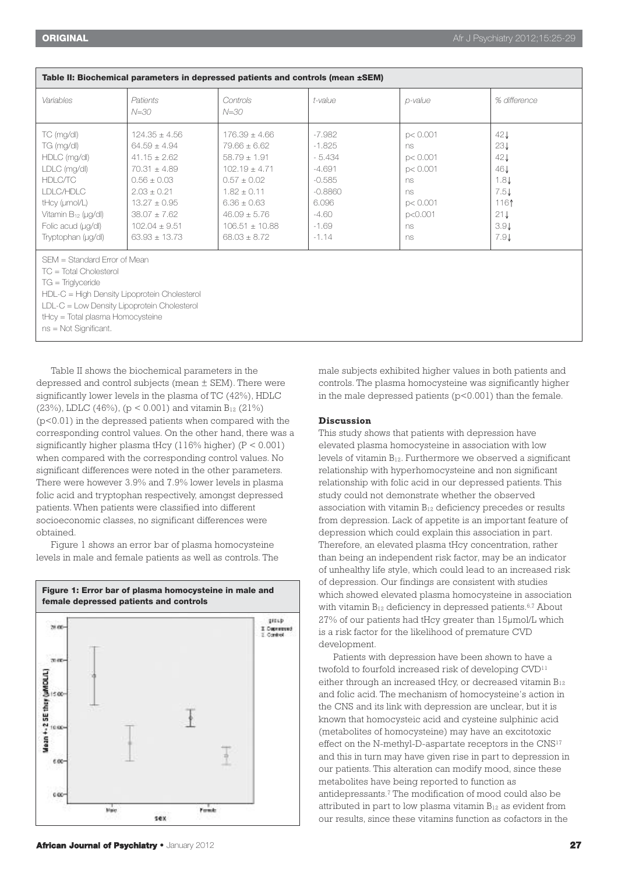| <b>TUBIC III BIVONCHIVUI PURUNGULO III WORLOOGO PUGUNGU UNU VONGOO (IIIGUI 2021)</b>                                                                   |                                                                                                                                                                  |                                                                                                                                                                 |                                                                                                    |                                                                                        |                                                                  |  |  |  |
|--------------------------------------------------------------------------------------------------------------------------------------------------------|------------------------------------------------------------------------------------------------------------------------------------------------------------------|-----------------------------------------------------------------------------------------------------------------------------------------------------------------|----------------------------------------------------------------------------------------------------|----------------------------------------------------------------------------------------|------------------------------------------------------------------|--|--|--|
| Variables                                                                                                                                              | Patients<br>$N = 30$                                                                                                                                             | Controls<br>$N = 30$                                                                                                                                            | t-value                                                                                            | p-value                                                                                | % difference                                                     |  |  |  |
| TC (mg/dl)<br>TG (mg/dl)<br>HDLC (mg/dl)<br>LDLC (mg/dl)<br>HDLC/TC<br>I DI C/HDI C<br>tHcy (umol/L)<br>Vitamin $B_{12}$ (ug/dl)<br>Folic acud (ug/dl) | $124.35 + 4.56$<br>$64.59 + 4.94$<br>$41.15 + 2.62$<br>$70.31 + 4.89$<br>$0.56 + 0.03$<br>$2.03 + 0.21$<br>$13.27 + 0.95$<br>$38.07 + 7.62$<br>$102.04 \pm 9.51$ | $176.39 + 4.66$<br>79.66 + 6.62<br>$58.79 + 1.91$<br>$102.19 + 4.71$<br>$0.57 + 0.02$<br>$1.82 + 0.11$<br>$6.36 + 0.63$<br>$46.09 + 5.76$<br>$106.51 \pm 10.88$ | -7.982<br>$-1.825$<br>$-5.434$<br>$-4.691$<br>$-0.585$<br>$-0.8860$<br>6.096<br>$-4.60$<br>$-1.69$ | p < 0.001<br>ns.<br>pc 0.001<br>pc 0.001<br>ns.<br>ns.<br>pc 0.001<br>p < 0.001<br>ns. | 42J<br>23J<br>42J<br>46 J<br>1.8J<br>7.5J<br>1161<br>21J<br>3.91 |  |  |  |
| Tryptophan (ug/dl)                                                                                                                                     | $63.93 + 13.73$                                                                                                                                                  | $68.03 + 8.72$                                                                                                                                                  | $-1.14$                                                                                            | ns.                                                                                    | 7.9J                                                             |  |  |  |

**Table II: Biochemical parameters in depressed patients and controls (mean ±SEM)**

SEM = Standard Error of Mean

TC = Total Cholesterol

TG = Triglyceride

HDL-C = High Density Lipoprotein Cholesterol

LDL-C = Low Density Lipoprotein Cholesterol

tHcy = Total plasma Homocysteine

ns = Not Significant.

Table II shows the biochemical parameters in the depressed and control subjects (mean ± SEM). There were significantly lower levels in the plasma of TC (42%), HDLC (23%), LDLC (46%), ( $p < 0.001$ ) and vitamin B<sub>12</sub> (21%) (p<0.01) in the depressed patients when compared with the corresponding control values. On the other hand, there was a significantly higher plasma tHcy  $(116\%$  higher)  $(P < 0.001)$ when compared with the corresponding control values. No significant differences were noted in the other parameters. There were however 3.9% and 7.9% lower levels in plasma folic acid and tryptophan respectively, amongst depressed patients. When patients were classified into different socioeconomic classes, no significant differences were obtained.

Figure 1 shows an error bar of plasma homocysteine levels in male and female patients as well as controls. The



**African Journal of Psychiatry •** January 2012 **27**

male subjects exhibited higher values in both patients and controls. The plasma homocysteine was significantly higher in the male depressed patients  $(p<0.001)$  than the female.

#### **Discussion**

This study shows that patients with depression have elevated plasma homocysteine in association with low levels of vitamin B12. Furthermore we observed a significant relationship with hyperhomocysteine and non significant relationship with folic acid in our depressed patients. This study could not demonstrate whether the observed association with vitamin  $B_{12}$  deficiency precedes or results from depression. Lack of appetite is an important feature of depression which could explain this association in part. Therefore, an elevated plasma tHcy concentration, rather than being an independent risk factor, may be an indicator of unhealthy life style, which could lead to an increased risk of depression. Our findings are consistent with studies which showed elevated plasma homocysteine in association with vitamin B12 deficiency in depressed patients. 6,7 About 27% of our patients had tHcy greater than 15µmol/L which is a risk factor for the likelihood of premature CVD development.

Patients with depression have been shown to have a twofold to fourfold increased risk of developing CVD<sup>11</sup> either through an increased tHcy, or decreased vitamin  $B_{12}$ and folic acid. The mechanism of homocysteine's action in the CNS and its link with depression are unclear, but it is known that homocysteic acid and cysteine sulphinic acid (metabolites of homocysteine) may have an excitotoxic effect on the N-methyl-D-aspartate receptors in the CNS<sup>17</sup> and this in turn may have given rise in part to depression in our patients. This alteration can modify mood, since these metabolites have being reported to function as antidepressants. <sup>7</sup> The modification of mood could also be attributed in part to low plasma vitamin B12 as evident from our results, since these vitamins function as cofactors in the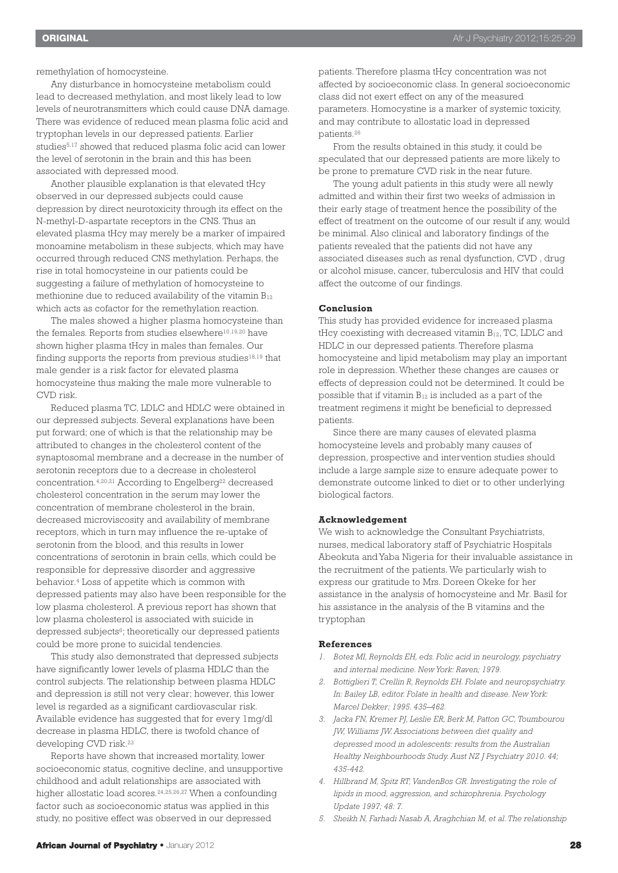remethylation of homocysteine.

Any disturbance in homocysteine metabolism could lead to decreased methylation, and most likely lead to low levels of neurotransmitters which could cause DNA damage. There was evidence of reduced mean plasma folic acid and tryptophan levels in our depressed patients. Earlier studies<sup>5,17</sup> showed that reduced plasma folic acid can lower the level of serotonin in the brain and this has been associated with depressed mood.

Another plausible explanation is that elevated tHcy observed in our depressed subjects could cause depression by direct neurotoxicity through its effect on the N-methyl-D-aspartate receptors in the CNS. Thus an elevated plasma tHcy may merely be a marker of impaired monoamine metabolism in these subjects, which may have occurred through reduced CNS methylation. Perhaps, the rise in total homocysteine in our patients could be suggesting a failure of methylation of homocysteine to methionine due to reduced availability of the vitamin  $B_{12}$ which acts as cofactor for the remethylation reaction.

The males showed a higher plasma homocysteine than the females. Reports from studies elsewhere<sup>10,19,20</sup> have shown higher plasma tHcy in males than females. Our finding supports the reports from previous studies<sup>18,19</sup> that male gender is a risk factor for elevated plasma homocysteine thus making the male more vulnerable to CVD risk.

Reduced plasma TC, LDLC and HDLC were obtained in our depressed subjects. Several explanations have been put forward; one of which is that the relationship may be attributed to changes in the cholesterol content of the synaptosomal membrane and a decrease in the number of serotonin receptors due to a decrease in cholesterol concentration.<sup>4,20,21</sup> According to Engelberg<sup>22</sup> decreased cholesterol concentration in the serum may lower the concentration of membrane cholesterol in the brain, decreased microviscosity and availability of membrane receptors, which in turn may influence the re-uptake of serotonin from the blood, and this results in lower concentrations of serotonin in brain cells, which could be responsible for depressive disorder and aggressive behavior. <sup>4</sup> Loss of appetite which is common with depressed patients may also have been responsible for the low plasma cholesterol. A previous report has shown that low plasma cholesterol is associated with suicide in depressed subjects<sup>6</sup>; theoretically our depressed patients could be more prone to suicidal tendencies.

This study also demonstrated that depressed subjects have significantly lower levels of plasma HDLC than the control subjects. The relationship between plasma HDLC and depression is still not very clear; however, this lower level is regarded as a significant cardiovascular risk. Available evidence has suggested that for every 1mg/dl decrease in plasma HDLC, there is twofold chance of developing CVD risk. 23

Reports have shown that increased mortality, lower socioeconomic status, cognitive decline, and unsupportive childhood and adult relationships are associated with higher allostatic load scores. 24,25,26,27 When a confounding factor such as socioeconomic status was applied in this study, no positive effect was observed in our depressed

patients. Therefore plasma tHcy concentration was not affected by socioeconomic class. In general socioeconomic class did not exert effect on any of the measured parameters. Homocystine is a marker of systemic toxicity, and may contribute to allostatic load in depressed patients. 26

From the results obtained in this study, it could be speculated that our depressed patients are more likely to be prone to premature CVD risk in the near future.

The young adult patients in this study were all newly admitted and within their first two weeks of admission in their early stage of treatment hence the possibility of the effect of treatment on the outcome of our result if any, would be minimal. Also clinical and laboratory findings of the patients revealed that the patients did not have any associated diseases such as renal dysfunction, CVD , drug or alcohol misuse, cancer, tuberculosis and HIV that could affect the outcome of our findings.

#### **Conclusion**

This study has provided evidence for increased plasma tHcy coexisting with decreased vitamin B12, TC, LDLC and HDLC in our depressed patients. Therefore plasma homocysteine and lipid metabolism may play an important role in depression. Whether these changes are causes or effects of depression could not be determined. It could be possible that if vitamin  $B_{12}$  is included as a part of the treatment regimens it might be beneficial to depressed patients.

Since there are many causes of elevated plasma homocysteine levels and probably many causes of depression, prospective and intervention studies should include a large sample size to ensure adequate power to demonstrate outcome linked to diet or to other underlying biological factors.

#### **Acknowledgement**

We wish to acknowledge the Consultant Psychiatrists, nurses, medical laboratory staff of Psychiatric Hospitals Abeokuta and Yaba Nigeria for their invaluable assistance in the recruitment of the patients. We particularly wish to express our gratitude to Mrs. Doreen Okeke for her assistance in the analysis of homocysteine and Mr. Basil for his assistance in the analysis of the B vitamins and the tryptophan

#### **References**

- *1. Botez MI, Reynolds EH, eds. Folic acid in neurology, psychiatry and internal medicine. New York: Raven; 1979.*
- *2. Bottiglieri T, Crellin R, Reynolds EH. Folate and neuropsychiatry. In: Bailey LB, editor. Folate in health and disease. New York: Marcel Dekker; 1995. 435–462.*
- *3. Jacka FN, Kremer PJ, Leslie ER, Berk M, Patton GC, Toumbourou JW, Williams JW. Associations between diet quality and depressed mood in adolescents: results from the Australian Healthy Neighbourhoods Study. Aust NZ J Psychiatry 2010. 44; 435-442.*
- *4. Hillbrand M, Spitz RT, VandenBos GR. Investigating the role of lipids in mood, aggression, and schizophrenia. Psychology Update 1997; 48: 7.*
- *5. Sheikh N, Farhadi Nasab A, Araghchian M, et al. The relationship*